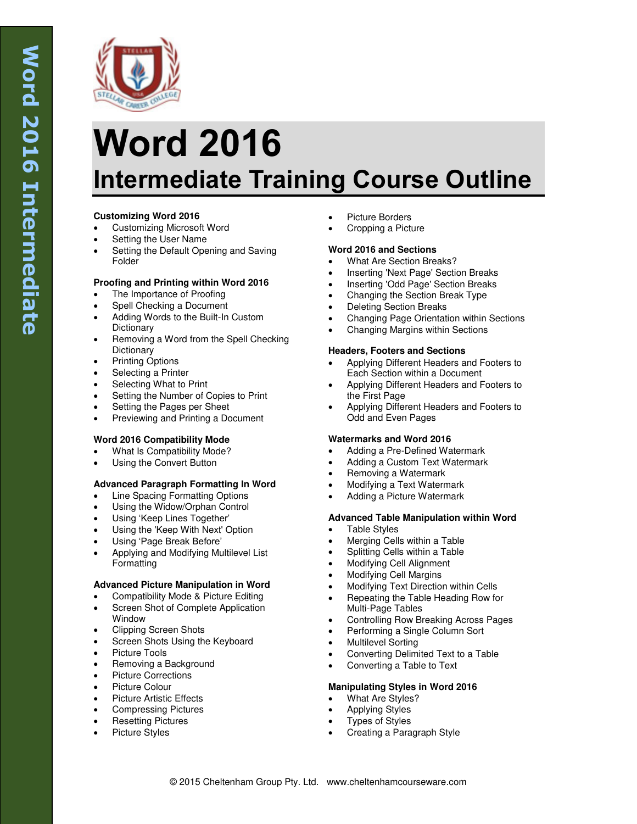

# **Word 2016 Intermediate Training Course Outline**

# **Customizing Word 2016**

- Customizing Microsoft Word
- Setting the User Name
- Setting the Default Opening and Saving Folder

## **Proofing and Printing within Word 2016**

- The Importance of Proofing
- Spell Checking a Document
- Adding Words to the Built-In Custom **Dictionary**
- Removing a Word from the Spell Checking **Dictionary**
- Printing Options
- Selecting a Printer
- Selecting What to Print
- Setting the Number of Copies to Print
- Setting the Pages per Sheet
- Previewing and Printing a Document

## **Word 2016 Compatibility Mode**

- What Is Compatibility Mode?
- Using the Convert Button

## **Advanced Paragraph Formatting In Word**

- Line Spacing Formatting Options
- Using the Widow/Orphan Control
- Using 'Keep Lines Together'
- Using the 'Keep With Next' Option
- Using 'Page Break Before'
- Applying and Modifying Multilevel List Formatting

## **Advanced Picture Manipulation in Word**

- Compatibility Mode & Picture Editing Screen Shot of Complete Application
- Window
- Clipping Screen Shots
- Screen Shots Using the Keyboard
- Picture Tools
- Removing a Background
- Picture Corrections
- Picture Colour
- Picture Artistic Effects
- Compressing Pictures
- Resetting Pictures Picture Styles
- Picture Borders
- Cropping a Picture

## **Word 2016 and Sections**

- What Are Section Breaks?
- Inserting 'Next Page' Section Breaks
- Inserting 'Odd Page' Section Breaks
- Changing the Section Break Type
- Deleting Section Breaks
- Changing Page Orientation within Sections
- Changing Margins within Sections

#### **Headers, Footers and Sections**

- Applying Different Headers and Footers to Each Section within a Document
- Applying Different Headers and Footers to the First Page
- Applying Different Headers and Footers to Odd and Even Pages

## **Watermarks and Word 2016**

- Adding a Pre-Defined Watermark
- Adding a Custom Text Watermark
- Removing a Watermark
- Modifying a Text Watermark
- Adding a Picture Watermark

## **Advanced Table Manipulation within Word**

- Table Styles
- Merging Cells within a Table
- Splitting Cells within a Table
- Modifying Cell Alignment
- Modifying Cell Margins
- Modifying Text Direction within Cells
- Repeating the Table Heading Row for Multi-Page Tables
- Controlling Row Breaking Across Pages
- Performing a Single Column Sort
- Multilevel Sorting
- Converting Delimited Text to a Table
- Converting a Table to Text

## **Manipulating Styles in Word 2016**

- What Are Styles?
- Applying Styles
- Types of Styles
- Creating a Paragraph Style